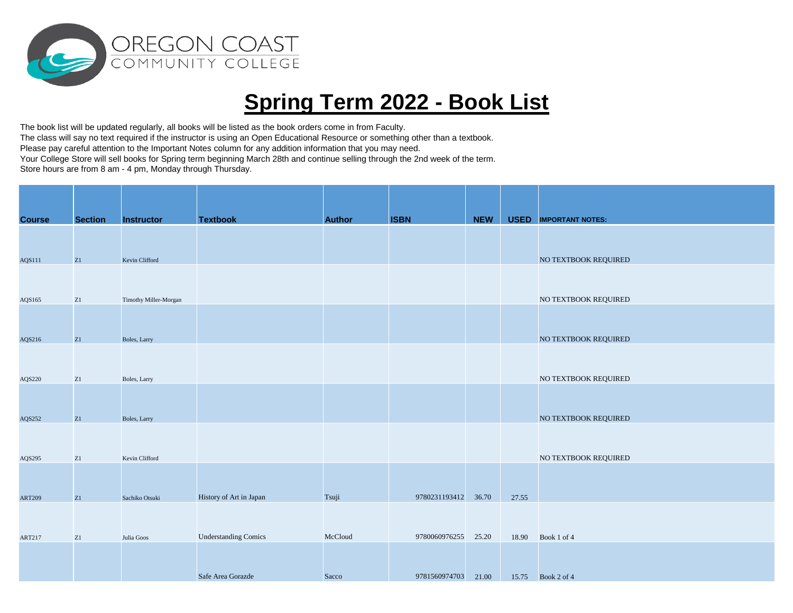

## **Spring Term 2022 - Book List**

The book list will be updated regularly, all books will be listed as the book orders come in from Faculty. The class will say no text required if the instructor is using an Open Educational Resource or something other than a textbook. Please pay careful attention to the Important Notes column for any addition information that you may need. Your College Store will sell books for Spring term beginning March 28th and continue selling through the 2nd week of the term. Store hours are from 8 am - 4 pm, Monday through Thursday.

| <b>Course</b> | <b>Section</b> | <b>Instructor</b>     | <b>Textbook</b>             | <b>Author</b> | <b>ISBN</b>         | <b>NEW</b> |       | <b>USED</b> IMPORTANT NOTES: |
|---------------|----------------|-----------------------|-----------------------------|---------------|---------------------|------------|-------|------------------------------|
|               |                |                       |                             |               |                     |            |       |                              |
|               |                |                       |                             |               |                     |            |       |                              |
| AQS111        | Z1             | Kevin Clifford        |                             |               |                     |            |       | NO TEXTBOOK REQUIRED         |
|               |                |                       |                             |               |                     |            |       |                              |
|               |                |                       |                             |               |                     |            |       |                              |
| AQS165        | ${\bf Z}1$     | Timothy Miller-Morgan |                             |               |                     |            |       | NO TEXTBOOK REQUIRED         |
|               |                |                       |                             |               |                     |            |       |                              |
|               |                |                       |                             |               |                     |            |       |                              |
| AQS216        | Z1             | Boles, Larry          |                             |               |                     |            |       | NO TEXTBOOK REQUIRED         |
|               |                |                       |                             |               |                     |            |       |                              |
|               |                |                       |                             |               |                     |            |       |                              |
| AQS220        | $\rm Z1$       | Boles, Larry          |                             |               |                     |            |       | NO TEXTBOOK REQUIRED         |
|               |                |                       |                             |               |                     |            |       |                              |
|               |                |                       |                             |               |                     |            |       |                              |
| AQS252        | Z1             | Boles, Larry          |                             |               |                     |            |       | NO TEXTBOOK REQUIRED         |
|               |                |                       |                             |               |                     |            |       |                              |
| AQS295        | ${\bf Z}1$     | Kevin Clifford        |                             |               |                     |            |       | NO TEXTBOOK REQUIRED         |
|               |                |                       |                             |               |                     |            |       |                              |
|               |                |                       |                             |               |                     |            |       |                              |
| <b>ART209</b> | Z1             | Sachiko Otsuki        | History of Art in Japan     | Tsuji         | 9780231193412 36.70 |            | 27.55 |                              |
|               |                |                       |                             |               |                     |            |       |                              |
|               |                |                       |                             |               |                     |            |       |                              |
| <b>ART217</b> | ${\bf Z}1$     | Julia Goos            | <b>Understanding Comics</b> | McCloud       | 9780060976255 25.20 |            | 18.90 | Book 1 of 4                  |
|               |                |                       |                             |               |                     |            |       |                              |
|               |                |                       |                             |               |                     |            |       |                              |
|               |                |                       | Safe Area Gorazde           | Sacco         | 9781560974703 21.00 |            |       | 15.75 Book 2 of 4            |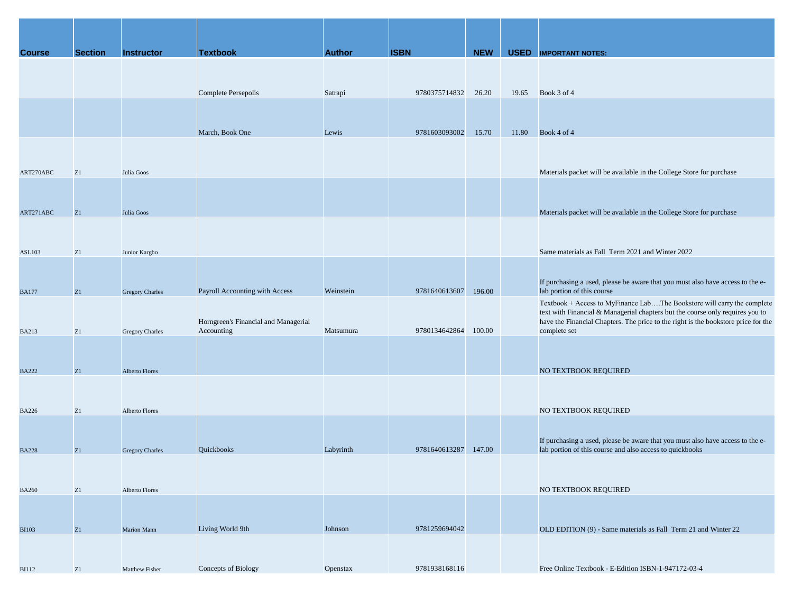| <b>Course</b> | <b>Section</b> | <b>Instructor</b>      | <b>Textbook</b>                                    | <b>Author</b> | <b>ISBN</b>         | <b>NEW</b> |       | <b>USED</b> IMPORTANT NOTES:                                                                                                                                                                                                                                   |
|---------------|----------------|------------------------|----------------------------------------------------|---------------|---------------------|------------|-------|----------------------------------------------------------------------------------------------------------------------------------------------------------------------------------------------------------------------------------------------------------------|
|               |                |                        |                                                    |               |                     |            |       |                                                                                                                                                                                                                                                                |
|               |                |                        | Complete Persepolis                                | Satrapi       | 9780375714832 26.20 |            | 19.65 | Book 3 of 4                                                                                                                                                                                                                                                    |
|               |                |                        |                                                    |               |                     |            |       |                                                                                                                                                                                                                                                                |
|               |                |                        | March, Book One                                    | Lewis         | 9781603093002       | 15.70      | 11.80 | Book 4 of 4                                                                                                                                                                                                                                                    |
|               |                |                        |                                                    |               |                     |            |       |                                                                                                                                                                                                                                                                |
| ART270ABC     | Z1             | Julia Goos             |                                                    |               |                     |            |       | Materials packet will be available in the College Store for purchase                                                                                                                                                                                           |
|               |                |                        |                                                    |               |                     |            |       |                                                                                                                                                                                                                                                                |
|               |                |                        |                                                    |               |                     |            |       |                                                                                                                                                                                                                                                                |
| ART271ABC     | Z1             | Julia Goos             |                                                    |               |                     |            |       | Materials packet will be available in the College Store for purchase                                                                                                                                                                                           |
|               |                |                        |                                                    |               |                     |            |       |                                                                                                                                                                                                                                                                |
| <b>ASL103</b> | Z1             | Junior Kargbo          |                                                    |               |                     |            |       | Same materials as Fall Term 2021 and Winter 2022                                                                                                                                                                                                               |
|               |                |                        |                                                    |               |                     |            |       |                                                                                                                                                                                                                                                                |
| <b>BA177</b>  | Z1             | <b>Gregory Charles</b> | Payroll Accounting with Access                     | Weinstein     | 9781640613607       | 196.00     |       | If purchasing a used, please be aware that you must also have access to the e-<br>lab portion of this course                                                                                                                                                   |
| <b>BA213</b>  | Z1             | Gregory Charles        | Horngreen's Financial and Managerial<br>Accounting | Matsumura     | 9780134642864       | 100.00     |       | Textbook + Access to MyFinance LabThe Bookstore will carry the complete<br>text with Financial & Managerial chapters but the course only requires you to<br>have the Financial Chapters. The price to the right is the bookstore price for the<br>complete set |
|               |                |                        |                                                    |               |                     |            |       |                                                                                                                                                                                                                                                                |
| <b>BA222</b>  | Z1             | Alberto Flores         |                                                    |               |                     |            |       | NO TEXTBOOK REQUIRED                                                                                                                                                                                                                                           |
|               |                |                        |                                                    |               |                     |            |       |                                                                                                                                                                                                                                                                |
| <b>BA226</b>  | Z1             | <b>Alberto Flores</b>  |                                                    |               |                     |            |       | NO TEXTBOOK REQUIRED                                                                                                                                                                                                                                           |
|               |                |                        |                                                    |               |                     |            |       |                                                                                                                                                                                                                                                                |
| <b>BA228</b>  | Z <sub>1</sub> | <b>Gregory Charles</b> | Quickbooks                                         | Labyrinth     | 9781640613287       | 147.00     |       | If purchasing a used, please be aware that you must also have access to the e-<br>lab portion of this course and also access to quickbooks                                                                                                                     |
|               |                |                        |                                                    |               |                     |            |       |                                                                                                                                                                                                                                                                |
| <b>BA260</b>  | Z1             | Alberto Flores         |                                                    |               |                     |            |       | NO TEXTBOOK REQUIRED                                                                                                                                                                                                                                           |
|               |                |                        |                                                    |               |                     |            |       |                                                                                                                                                                                                                                                                |
| <b>BI103</b>  | Z1             | Marion Mann            | Living World 9th                                   | Johnson       | 9781259694042       |            |       | OLD EDITION (9) - Same materials as Fall Term 21 and Winter 22                                                                                                                                                                                                 |
|               |                |                        |                                                    |               |                     |            |       |                                                                                                                                                                                                                                                                |
| <b>BI112</b>  | Z1             | Matthew Fisher         | Concepts of Biology                                | Openstax      | 9781938168116       |            |       | Free Online Textbook - E-Edition ISBN-1-947172-03-4                                                                                                                                                                                                            |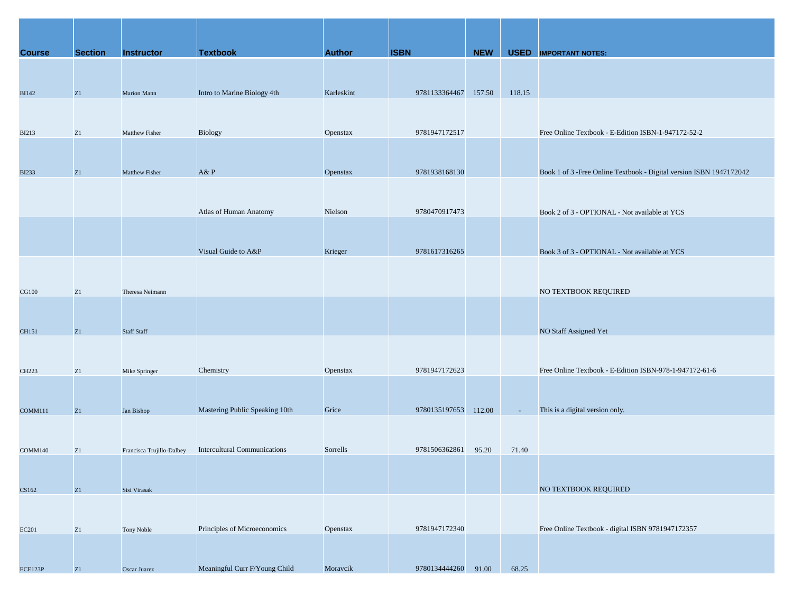| <b>Course</b> | <b>Section</b> | <b>Instructor</b>         | <b>Textbook</b>                     | <b>Author</b> | <b>ISBN</b>          | <b>NEW</b> |        | <b>USED</b> IMPORTANT NOTES:                                         |
|---------------|----------------|---------------------------|-------------------------------------|---------------|----------------------|------------|--------|----------------------------------------------------------------------|
|               |                |                           |                                     |               |                      |            |        |                                                                      |
|               |                |                           |                                     |               |                      |            |        |                                                                      |
| <b>BI142</b>  | Z1             | Marion Mann               | Intro to Marine Biology 4th         | Karleskint    | 9781133364467 157.50 |            | 118.15 |                                                                      |
|               |                |                           |                                     |               |                      |            |        |                                                                      |
| <b>BI213</b>  | Z1             | Matthew Fisher            | Biology                             | Openstax      | 9781947172517        |            |        | Free Online Textbook - E-Edition ISBN-1-947172-52-2                  |
|               |                |                           |                                     |               |                      |            |        |                                                                      |
|               |                |                           |                                     |               |                      |            |        |                                                                      |
| <b>BI233</b>  | Z1             | Matthew Fisher            | A&P                                 | Openstax      | 9781938168130        |            |        | Book 1 of 3 - Free Online Textbook - Digital version ISBN 1947172042 |
|               |                |                           |                                     |               |                      |            |        |                                                                      |
|               |                |                           | Atlas of Human Anatomy              | Nielson       | 9780470917473        |            |        | Book 2 of 3 - OPTIONAL - Not available at YCS                        |
|               |                |                           |                                     |               |                      |            |        |                                                                      |
|               |                |                           |                                     |               |                      |            |        |                                                                      |
|               |                |                           | Visual Guide to A&P                 | Krieger       | 9781617316265        |            |        | Book 3 of 3 - OPTIONAL - Not available at YCS                        |
|               |                |                           |                                     |               |                      |            |        |                                                                      |
| <b>CG100</b>  | Z1             | Theresa Neimann           |                                     |               |                      |            |        | NO TEXTBOOK REQUIRED                                                 |
|               |                |                           |                                     |               |                      |            |        |                                                                      |
|               |                |                           |                                     |               |                      |            |        |                                                                      |
| CH151         | Z1             | <b>Staff Staff</b>        |                                     |               |                      |            |        | NO Staff Assigned Yet                                                |
|               |                |                           |                                     |               |                      |            |        |                                                                      |
| CH223         | Z1             | Mike Springer             | Chemistry                           | Openstax      | 9781947172623        |            |        | Free Online Textbook - E-Edition ISBN-978-1-947172-61-6              |
|               |                |                           |                                     |               |                      |            |        |                                                                      |
| COMM111       | Z1             | Jan Bishop                | Mastering Public Speaking 10th      | Grice         | 9780135197653 112.00 |            |        | This is a digital version only.                                      |
|               |                |                           |                                     |               |                      |            |        |                                                                      |
|               |                |                           |                                     |               |                      |            |        |                                                                      |
| COMM140       | Z <sub>1</sub> | Francisca Trujillo-Dalbey | <b>Intercultural Communications</b> | Sorrells      | 9781506362861 95.20  |            | 71.40  |                                                                      |
|               |                |                           |                                     |               |                      |            |        |                                                                      |
| CS162         | Z1             | Sisi Virasak              |                                     |               |                      |            |        | NO TEXTBOOK REQUIRED                                                 |
|               |                |                           |                                     |               |                      |            |        |                                                                      |
|               |                |                           |                                     |               |                      |            |        |                                                                      |
| <b>EC201</b>  | Z1             | Tony Noble                | Principles of Microeconomics        | Openstax      | 9781947172340        |            |        | Free Online Textbook - digital ISBN 9781947172357                    |
|               |                |                           |                                     |               |                      |            |        |                                                                      |
| ECE123P       | Z1             | Oscar Juarez              | Meaningful Curr F/Young Child       | Moravcik      | 9780134444260 91.00  |            | 68.25  |                                                                      |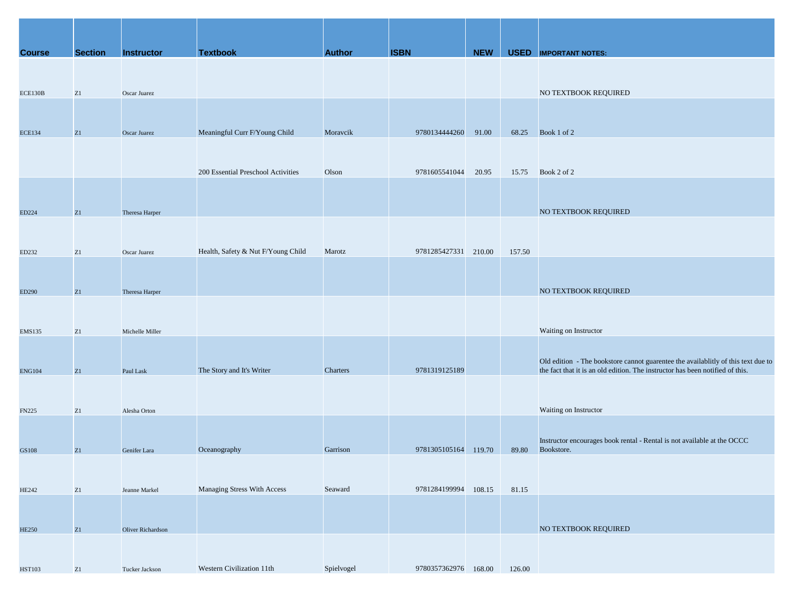| <b>Course</b> | <b>Section</b> | <b>Instructor</b>        | <b>Textbook</b>                    | <b>Author</b> | <b>ISBN</b>          | <b>NEW</b> |        | <b>USED</b> IMPORTANT NOTES:                                                                                                                                       |
|---------------|----------------|--------------------------|------------------------------------|---------------|----------------------|------------|--------|--------------------------------------------------------------------------------------------------------------------------------------------------------------------|
|               |                |                          |                                    |               |                      |            |        |                                                                                                                                                                    |
|               |                |                          |                                    |               |                      |            |        |                                                                                                                                                                    |
| ECE130B       | Z1             | Oscar Juarez             |                                    |               |                      |            |        | NO TEXTBOOK REQUIRED                                                                                                                                               |
|               |                |                          |                                    |               |                      |            |        |                                                                                                                                                                    |
| <b>ECE134</b> | Z1             | Oscar Juarez             | Meaningful Curr F/Young Child      | Moravcik      | 9780134444260        | 91.00      | 68.25  | Book 1 of 2                                                                                                                                                        |
|               |                |                          |                                    |               |                      |            |        |                                                                                                                                                                    |
|               |                |                          |                                    |               |                      |            |        |                                                                                                                                                                    |
|               |                |                          | 200 Essential Preschool Activities | Olson         | 9781605541044 20.95  |            |        | 15.75 Book 2 of 2                                                                                                                                                  |
|               |                |                          |                                    |               |                      |            |        |                                                                                                                                                                    |
|               |                |                          |                                    |               |                      |            |        |                                                                                                                                                                    |
| ED224         | Z1             | Theresa Harper           |                                    |               |                      |            |        | NO TEXTBOOK REQUIRED                                                                                                                                               |
|               |                |                          |                                    |               |                      |            |        |                                                                                                                                                                    |
| ED232         | Z1             | Oscar Juarez             | Health, Safety & Nut F/Young Child | Marotz        | 9781285427331 210.00 |            | 157.50 |                                                                                                                                                                    |
|               |                |                          |                                    |               |                      |            |        |                                                                                                                                                                    |
|               |                |                          |                                    |               |                      |            |        |                                                                                                                                                                    |
| ED290         | Z1             | Theresa Harper           |                                    |               |                      |            |        | NO TEXTBOOK REQUIRED                                                                                                                                               |
|               |                |                          |                                    |               |                      |            |        |                                                                                                                                                                    |
|               |                |                          |                                    |               |                      |            |        |                                                                                                                                                                    |
| <b>EMS135</b> | Z1             | Michelle Miller          |                                    |               |                      |            |        | Waiting on Instructor                                                                                                                                              |
|               |                |                          |                                    |               |                      |            |        |                                                                                                                                                                    |
|               | Z1             | Paul Lask                | The Story and It's Writer          | Charters      | 9781319125189        |            |        | Old edition - The bookstore cannot guarentee the availablitly of this text due to<br>the fact that it is an old edition. The instructor has been notified of this. |
| <b>ENG104</b> |                |                          |                                    |               |                      |            |        |                                                                                                                                                                    |
|               |                |                          |                                    |               |                      |            |        |                                                                                                                                                                    |
| <b>FN225</b>  | Z1             | Alesha Orton             |                                    |               |                      |            |        | Waiting on Instructor                                                                                                                                              |
|               |                |                          |                                    |               |                      |            |        |                                                                                                                                                                    |
|               |                |                          |                                    |               |                      |            |        | Instructor encourages book rental - Rental is not available at the OCCC                                                                                            |
| GS108         | Z1             | Genifer Lara             | Oceanography                       | Garrison      | 9781305105164 119.70 |            | 89.80  | Bookstore.                                                                                                                                                         |
|               |                |                          |                                    |               |                      |            |        |                                                                                                                                                                    |
|               | Z1             | Jeanne Markel            | Managing Stress With Access        | Seaward       | 9781284199994        | 108.15     | 81.15  |                                                                                                                                                                    |
| <b>HE242</b>  |                |                          |                                    |               |                      |            |        |                                                                                                                                                                    |
|               |                |                          |                                    |               |                      |            |        |                                                                                                                                                                    |
| <b>HE250</b>  | Z1             | <b>Oliver Richardson</b> |                                    |               |                      |            |        | NO TEXTBOOK REQUIRED                                                                                                                                               |
|               |                |                          |                                    |               |                      |            |        |                                                                                                                                                                    |
|               |                |                          |                                    |               |                      |            |        |                                                                                                                                                                    |
| <b>HST103</b> | Z1             | Tucker Jackson           | Western Civilization 11th          | Spielvogel    | 9780357362976 168.00 |            | 126.00 |                                                                                                                                                                    |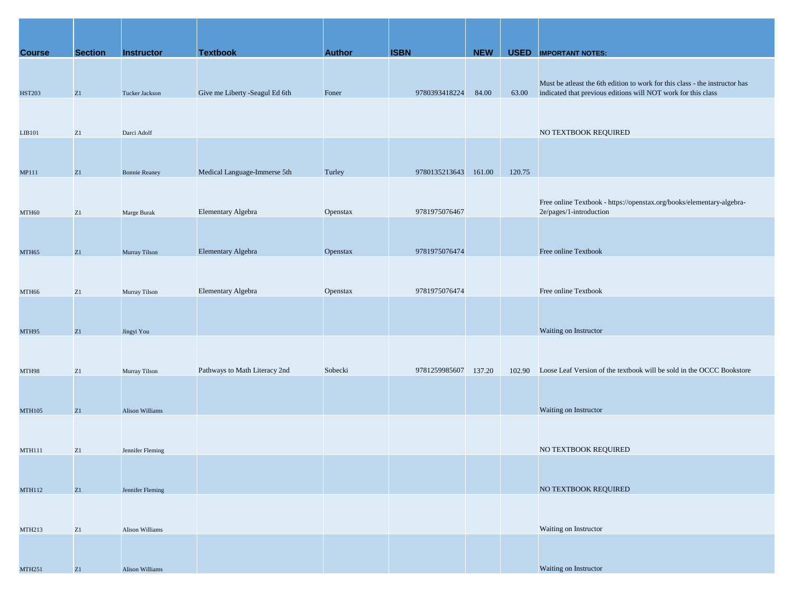| <b>Course</b>     | <b>Section</b> | <b>Instructor</b>      | <b>Textbook</b>                | <b>Author</b> | <b>ISBN</b>   | <b>NEW</b> |        | <b>USED</b> IMPORTANT NOTES:                                                |
|-------------------|----------------|------------------------|--------------------------------|---------------|---------------|------------|--------|-----------------------------------------------------------------------------|
|                   |                |                        |                                |               |               |            |        |                                                                             |
|                   |                |                        |                                |               |               |            |        | Must be atleast the 6th edition to work for this class - the instructor has |
| <b>HST203</b>     | Z1             | Tucker Jackson         | Give me Liberty -Seagul Ed 6th | Foner         | 9780393418224 | 84.00      | 63.00  | indicated that previous editions will NOT work for this class               |
|                   |                |                        |                                |               |               |            |        |                                                                             |
| LIB101            | Z1             | Darci Adolf            |                                |               |               |            |        | NO TEXTBOOK REQUIRED                                                        |
|                   |                |                        |                                |               |               |            |        |                                                                             |
|                   |                |                        |                                |               |               |            |        |                                                                             |
| MP111             | Z1             | <b>Bonnie Reaney</b>   | Medical Language-Immerse 5th   | Turley        | 9780135213643 | 161.00     | 120.75 |                                                                             |
|                   |                |                        |                                |               |               |            |        | Free online Textbook - https://openstax.org/books/elementary-algebra-       |
| MTH60             | Z1             | Marge Burak            | Elementary Algebra             | Openstax      | 9781975076467 |            |        | 2e/pages/1-introduction                                                     |
|                   |                |                        |                                |               |               |            |        |                                                                             |
|                   |                |                        |                                |               |               |            |        |                                                                             |
| MTH <sub>65</sub> | Z1             | Murray Tilson          | Elementary Algebra             | Openstax      | 9781975076474 |            |        | Free online Textbook                                                        |
|                   |                |                        |                                |               |               |            |        |                                                                             |
| MTH66             | Z1             | Murray Tilson          | Elementary Algebra             | Openstax      | 9781975076474 |            |        | Free online Textbook                                                        |
|                   |                |                        |                                |               |               |            |        |                                                                             |
|                   |                |                        |                                |               |               |            |        |                                                                             |
| MTH95             | Z1             | Jingyi You             |                                |               |               |            |        | Waiting on Instructor                                                       |
|                   |                |                        |                                |               |               |            |        |                                                                             |
| MTH98             | Z1             | Murray Tilson          | Pathways to Math Literacy 2nd  | Sobecki       | 9781259985607 | 137.20     | 102.90 | Loose Leaf Version of the textbook will be sold in the OCCC Bookstore       |
|                   |                |                        |                                |               |               |            |        |                                                                             |
| <b>MTH105</b>     | Z1             | <b>Alison Williams</b> |                                |               |               |            |        | Waiting on Instructor                                                       |
|                   |                |                        |                                |               |               |            |        |                                                                             |
|                   |                |                        |                                |               |               |            |        |                                                                             |
| <b>MTH111</b>     | Z1             | Jennifer Fleming       |                                |               |               |            |        | NO TEXTBOOK REQUIRED                                                        |
|                   |                |                        |                                |               |               |            |        |                                                                             |
| <b>MTH112</b>     | Z1             | Jennifer Fleming       |                                |               |               |            |        | NO TEXTBOOK REQUIRED                                                        |
|                   |                |                        |                                |               |               |            |        |                                                                             |
|                   |                |                        |                                |               |               |            |        |                                                                             |
| MTH213            | Z1             | Alison Williams        |                                |               |               |            |        | Waiting on Instructor                                                       |
|                   |                |                        |                                |               |               |            |        |                                                                             |
| <b>MTH251</b>     | Z1             | Alison Williams        |                                |               |               |            |        | Waiting on Instructor                                                       |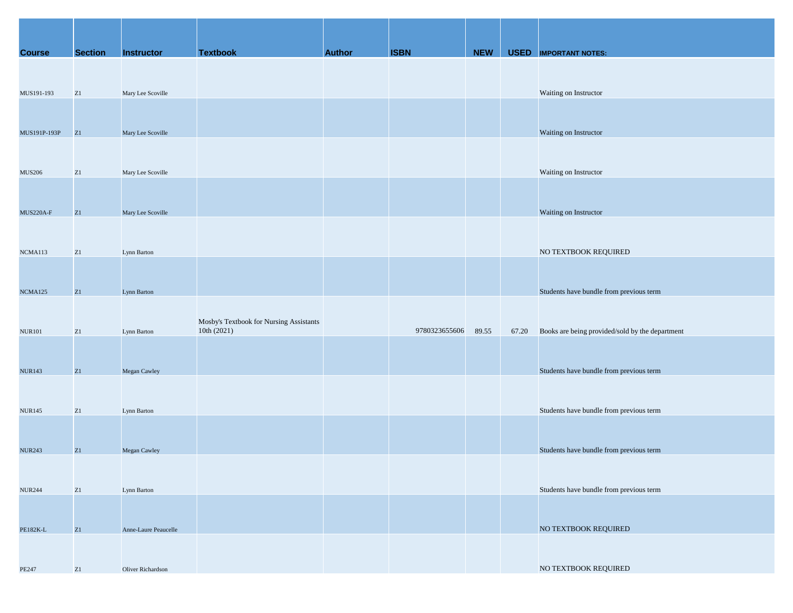| <b>Course</b>  | <b>Section</b> | <b>Instructor</b>    | <b>Textbook</b>                         | <b>Author</b> | <b>ISBN</b>   | <b>NEW</b> |       | <b>USED</b> IMPORTANT NOTES:                    |
|----------------|----------------|----------------------|-----------------------------------------|---------------|---------------|------------|-------|-------------------------------------------------|
|                |                |                      |                                         |               |               |            |       |                                                 |
|                |                |                      |                                         |               |               |            |       |                                                 |
| MUS191-193     | ${\bf Z}1$     | Mary Lee Scoville    |                                         |               |               |            |       | Waiting on Instructor                           |
|                |                |                      |                                         |               |               |            |       |                                                 |
| MUS191P-193P   | Z1             | Mary Lee Scoville    |                                         |               |               |            |       | Waiting on Instructor                           |
|                |                |                      |                                         |               |               |            |       |                                                 |
|                |                |                      |                                         |               |               |            |       |                                                 |
| <b>MUS206</b>  | ${\bf Z}1$     | Mary Lee Scoville    |                                         |               |               |            |       | Waiting on Instructor                           |
|                |                |                      |                                         |               |               |            |       |                                                 |
| MUS220A-F      | Z1             | Mary Lee Scoville    |                                         |               |               |            |       | Waiting on Instructor                           |
|                |                |                      |                                         |               |               |            |       |                                                 |
|                |                |                      |                                         |               |               |            |       |                                                 |
| NCMA113        | ${\bf Z}1$     | Lynn Barton          |                                         |               |               |            |       | NO TEXTBOOK REQUIRED                            |
|                |                |                      |                                         |               |               |            |       |                                                 |
| <b>NCMA125</b> | Z1             | Lynn Barton          |                                         |               |               |            |       | Students have bundle from previous term         |
|                |                |                      |                                         |               |               |            |       |                                                 |
|                |                |                      | Mosby's Textbook for Nursing Assistants |               |               |            |       |                                                 |
| <b>NUR101</b>  | Z1             | Lynn Barton          | 10th (2021)                             |               | 9780323655606 | 89.55      | 67.20 | Books are being provided/sold by the department |
|                |                |                      |                                         |               |               |            |       |                                                 |
| <b>NUR143</b>  | Z1             | Megan Cawley         |                                         |               |               |            |       | Students have bundle from previous term         |
|                |                |                      |                                         |               |               |            |       |                                                 |
|                | ${\rm Z}1$     |                      |                                         |               |               |            |       | Students have bundle from previous term         |
| <b>NUR145</b>  |                | Lynn Barton          |                                         |               |               |            |       |                                                 |
|                |                |                      |                                         |               |               |            |       |                                                 |
| <b>NUR243</b>  | Z1             | Megan Cawley         |                                         |               |               |            |       | Students have bundle from previous term         |
|                |                |                      |                                         |               |               |            |       |                                                 |
| <b>NUR244</b>  | Z1             | Lynn Barton          |                                         |               |               |            |       | Students have bundle from previous term         |
|                |                |                      |                                         |               |               |            |       |                                                 |
|                |                |                      |                                         |               |               |            |       |                                                 |
| PE182K-L       | Z1             | Anne-Laure Peaucelle |                                         |               |               |            |       | NO TEXTBOOK REQUIRED                            |
|                |                |                      |                                         |               |               |            |       |                                                 |
| PE247          | Z1             | Oliver Richardson    |                                         |               |               |            |       | NO TEXTBOOK REQUIRED                            |
|                |                |                      |                                         |               |               |            |       |                                                 |